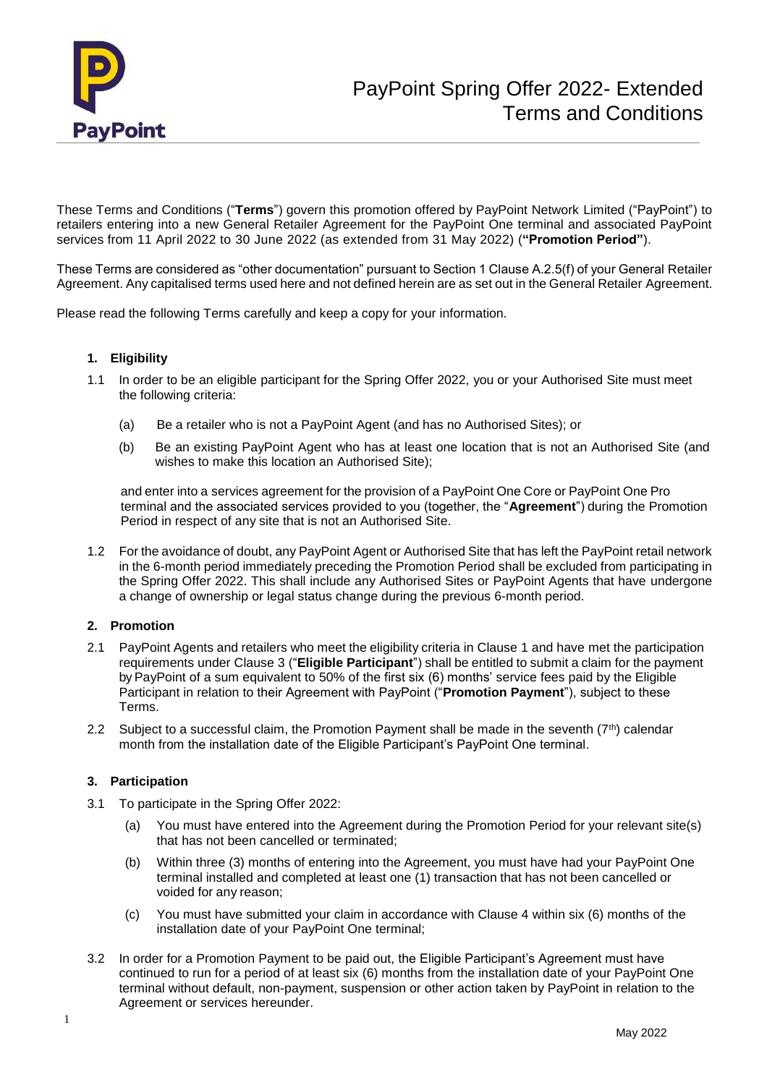

These Terms and Conditions ("**Terms**") govern this promotion offered by PayPoint Network Limited ("PayPoint") to retailers entering into a new General Retailer Agreement for the PayPoint One terminal and associated PayPoint services from 11 April 2022 to 30 June 2022 (as extended from 31 May 2022) (**"Promotion Period"**).

These Terms are considered as "other documentation" pursuant to Section 1 Clause A.2.5(f) of your General Retailer Agreement. Any capitalised terms used here and not defined herein are as set out in the General Retailer Agreement.

Please read the following Terms carefully and keep a copy for your information.

# **1. Eligibility**

- 1.1 In order to be an eligible participant for the Spring Offer 2022, you or your Authorised Site must meet the following criteria:
	- (a) Be a retailer who is not a PayPoint Agent (and has no Authorised Sites); or
	- (b) Be an existing PayPoint Agent who has at least one location that is not an Authorised Site (and wishes to make this location an Authorised Site);

and enter into a services agreement for the provision of a PayPoint One Core or PayPoint One Pro terminal and the associated services provided to you (together, the "**Agreement**") during the Promotion Period in respect of any site that is not an Authorised Site.

1.2 For the avoidance of doubt, any PayPoint Agent or Authorised Site that has left the PayPoint retail network in the 6-month period immediately preceding the Promotion Period shall be excluded from participating in the Spring Offer 2022. This shall include any Authorised Sites or PayPoint Agents that have undergone a change of ownership or legal status change during the previous 6-month period.

## **2. Promotion**

- 2.1 PayPoint Agents and retailers who meet the eligibility criteria in Clause 1 and have met the participation requirements under Clause 3 ("**Eligible Participant**") shall be entitled to submit a claim for the payment by PayPoint of a sum equivalent to 50% of the first six (6) months' service fees paid by the Eligible Participant in relation to their Agreement with PayPoint ("**Promotion Payment**"), subject to these Terms.
- 2.2 Subject to a successful claim, the Promotion Payment shall be made in the seventh  $(7<sup>th</sup>)$  calendar month from the installation date of the Eligible Participant's PayPoint One terminal.

# **3. Participation**

- 3.1 To participate in the Spring Offer 2022:
	- (a) You must have entered into the Agreement during the Promotion Period for your relevant site(s) that has not been cancelled or terminated;
	- (b) Within three (3) months of entering into the Agreement, you must have had your PayPoint One terminal installed and completed at least one (1) transaction that has not been cancelled or voided for any reason;
	- (c) You must have submitted your claim in accordance with Clause 4 within six (6) months of the installation date of your PayPoint One terminal;
- 3.2 In order for a Promotion Payment to be paid out, the Eligible Participant's Agreement must have continued to run for a period of at least six (6) months from the installation date of your PayPoint One terminal without default, non-payment, suspension or other action taken by PayPoint in relation to the Agreement or services hereunder.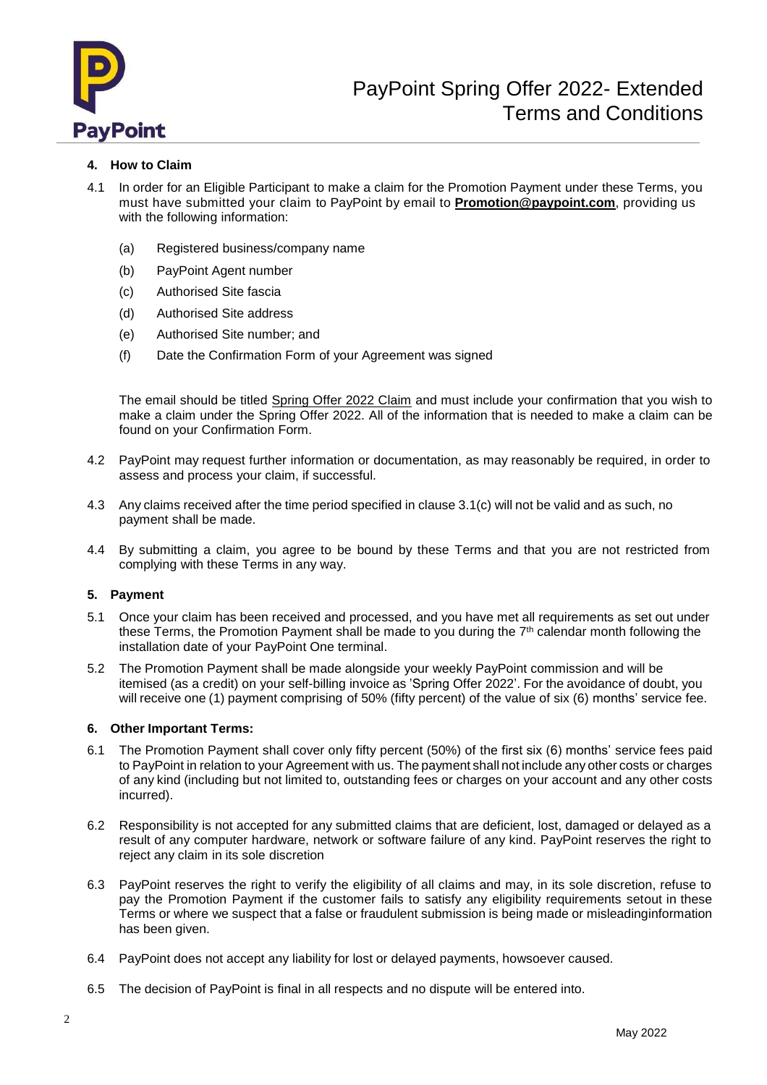

# **4. How to Claim**

- 4.1 In order for an Eligible Participant to make a claim for the Promotion Payment under these Terms, you must have submitted your claim to PayPoint by email to **[Promotion@paypoint.com](mailto:Promotion@paypoint.com)**, providing us with the following information:
	- (a) Registered business/company name
	- (b) PayPoint Agent number
	- (c) Authorised Site fascia
	- (d) Authorised Site address
	- (e) Authorised Site number; and
	- (f) Date the Confirmation Form of your Agreement was signed

The email should be titled Spring Offer 2022 Claim and must include your confirmation that you wish to make a claim under the Spring Offer 2022. All of the information that is needed to make a claim can be found on your Confirmation Form.

- 4.2 PayPoint may request further information or documentation, as may reasonably be required, in order to assess and process your claim, if successful.
- 4.3 Any claims received after the time period specified in clause 3.1(c) will not be valid and as such, no payment shall be made.
- 4.4 By submitting a claim, you agree to be bound by these Terms and that you are not restricted from complying with these Terms in any way.

## **5. Payment**

- 5.1 Once your claim has been received and processed, and you have met all requirements as set out under these Terms, the Promotion Payment shall be made to you during the  $7<sup>th</sup>$  calendar month following the installation date of your PayPoint One terminal.
- 5.2 The Promotion Payment shall be made alongside your weekly PayPoint commission and will be itemised (as a credit) on your self-billing invoice as 'Spring Offer 2022'. For the avoidance of doubt, you will receive one (1) payment comprising of 50% (fifty percent) of the value of six (6) months' service fee.

## **6. Other Important Terms:**

- 6.1 The Promotion Payment shall cover only fifty percent (50%) of the first six (6) months' service fees paid to PayPoint in relation to your Agreement with us. The payment shall not include any other costs or charges of any kind (including but not limited to, outstanding fees or charges on your account and any other costs incurred).
- 6.2 Responsibility is not accepted for any submitted claims that are deficient, lost, damaged or delayed as a result of any computer hardware, network or software failure of any kind. PayPoint reserves the right to reject any claim in its sole discretion
- 6.3 PayPoint reserves the right to verify the eligibility of all claims and may, in its sole discretion, refuse to pay the Promotion Payment if the customer fails to satisfy any eligibility requirements setout in these Terms or where we suspect that a false or fraudulent submission is being made or misleadinginformation has been given.
- 6.4 PayPoint does not accept any liability for lost or delayed payments, howsoever caused.
- 6.5 The decision of PayPoint is final in all respects and no dispute will be entered into.